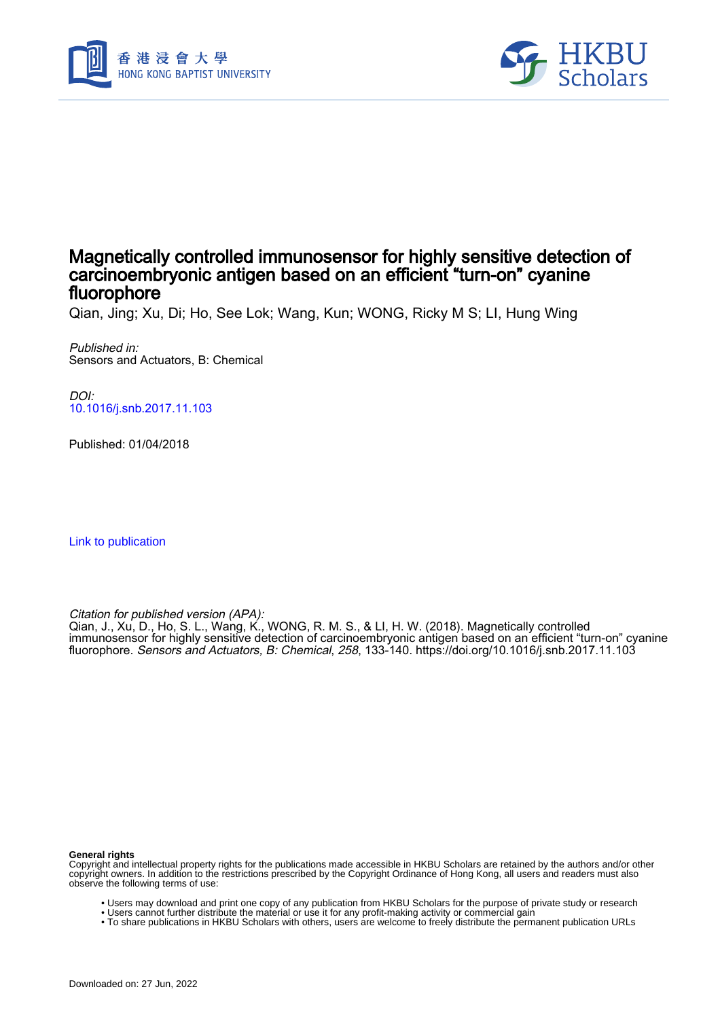



## Magnetically controlled immunosensor for highly sensitive detection of carcinoembryonic antigen based on an efficient "turn-on" cyanine fluorophore

Qian, Jing; Xu, Di; Ho, See Lok; Wang, Kun; WONG, Ricky M S; LI, Hung Wing

Published in: Sensors and Actuators, B: Chemical

DOI: [10.1016/j.snb.2017.11.103](https://doi.org/10.1016/j.snb.2017.11.103)

Published: 01/04/2018

[Link to publication](https://scholars.hkbu.edu.hk/en/publications/9d82dc65-9086-4ce6-8764-c41e209fce79)

Citation for published version (APA):

Qian, J., Xu, D., Ho, S. L., Wang, K., WONG, R. M. S., & LI, H. W. (2018). Magnetically controlled immunosensor for highly sensitive detection of carcinoembryonic antigen based on an efficient "turn-on" cyanine fluorophore. Sensors and Actuators, B: Chemical, 258, 133-140. <https://doi.org/10.1016/j.snb.2017.11.103>

#### **General rights**

Copyright and intellectual property rights for the publications made accessible in HKBU Scholars are retained by the authors and/or other copyright owners. In addition to the restrictions prescribed by the Copyright Ordinance of Hong Kong, all users and readers must also observe the following terms of use:

- Users may download and print one copy of any publication from HKBU Scholars for the purpose of private study or research
- Users cannot further distribute the material or use it for any profit-making activity or commercial gain
- To share publications in HKBU Scholars with others, users are welcome to freely distribute the permanent publication URLs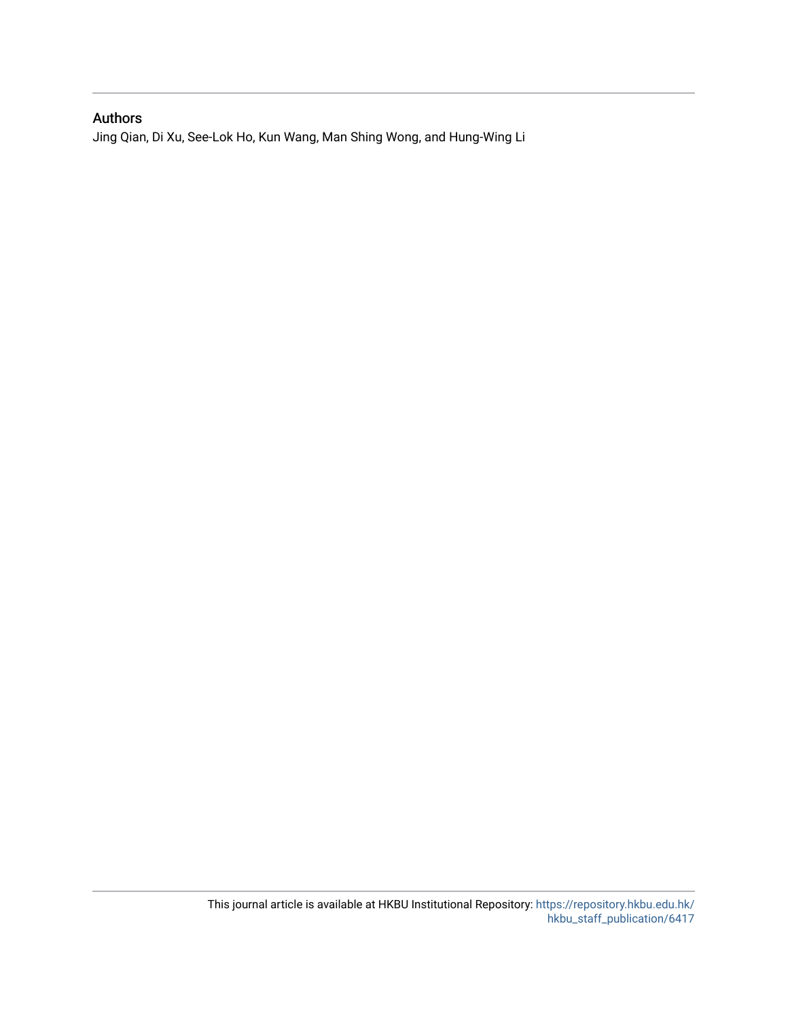## Authors

Jing Qian, Di Xu, See-Lok Ho, Kun Wang, Man Shing Wong, and Hung-Wing Li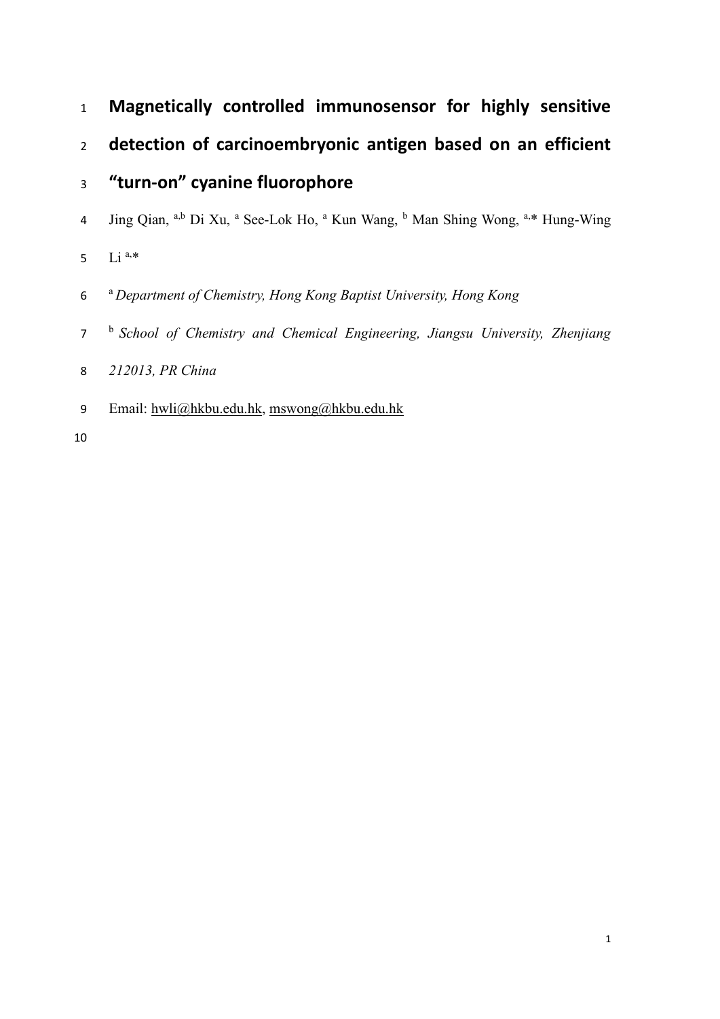- **Magnetically controlled immunosensor for highly sensitive**
- **detection of carcinoembryonic antigen based on an efficient**

# **"turn-on" cyanine fluorophore**

- 4 Jing Qian, <sup>a,b</sup> Di Xu, <sup>a</sup> See-Lok Ho, <sup>a</sup> Kun Wang, <sup>b</sup> Man Shing Wong, <sup>a,\*</sup> Hung-Wing
- 5  $Li^{a,*}$
- a *Department of Chemistry, Hong Kong Baptist University, Hong Kong*
- 7 <sup>b</sup> School of Chemistry and Chemical Engineering, Jiangsu University, Zhenjiang
- *212013, PR China*
- Email: [hwli@hkbu.edu.hk,](mailto:hwli@hkbu.edu.hk) [mswong@hkbu.edu.hk](mailto:mswong@hkbu.edu.hk)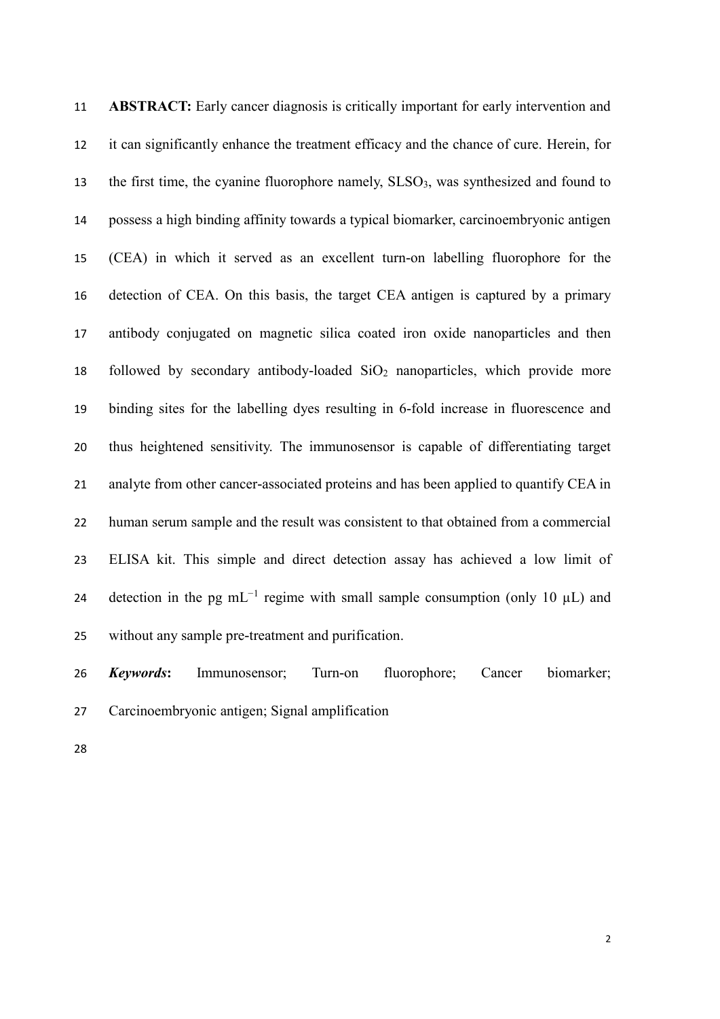**ABSTRACT:** Early cancer diagnosis is critically important for early intervention and it can significantly enhance the treatment efficacy and the chance of cure. Herein, for 13 the first time, the cyanine fluorophore namely,  $SLSO<sub>3</sub>$ , was synthesized and found to possess a high binding affinity towards a typical biomarker, carcinoembryonic antigen (CEA) in which it served as an excellent turn-on labelling fluorophore for the detection of CEA. On this basis, the target CEA antigen is captured by a primary antibody conjugated on magnetic silica coated iron oxide nanoparticles and then 18 followed by secondary antibody-loaded  $SiO<sub>2</sub>$  nanoparticles, which provide more binding sites for the labelling dyes resulting in 6-fold increase in fluorescence and thus heightened sensitivity. The immunosensor is capable of differentiating target 21 analyte from other cancer-associated proteins and has been applied to quantify CEA in human serum sample and the result was consistent to that obtained from a commercial ELISA kit. This simple and direct detection assay has achieved a low limit of 24 detection in the pg mL<sup>-1</sup> regime with small sample consumption (only 10  $\mu$ L) and without any sample pre-treatment and purification.

 *Keywords***:** Immunosensor; Turn-on fluorophore; Cancer biomarker; Carcinoembryonic antigen; Signal amplification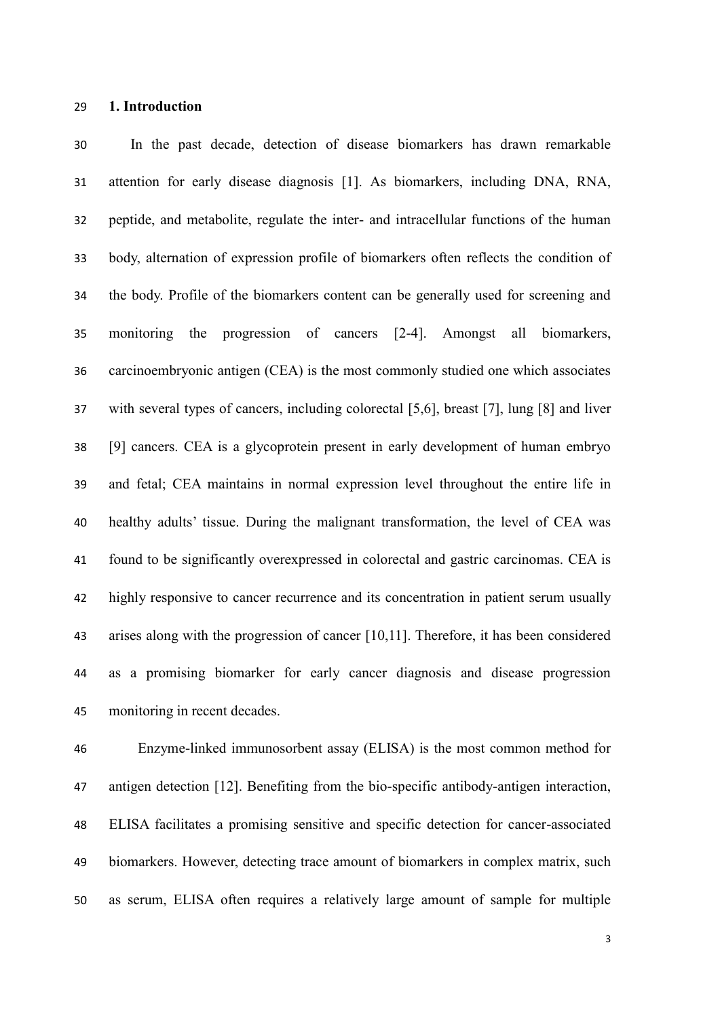**1. Introduction**

 In the past decade, detection of disease biomarkers has drawn remarkable attention for early disease diagnosis [1]. As biomarkers, including DNA, RNA, peptide, and metabolite, regulate the inter- and intracellular functions of the human body, alternation of expression profile of biomarkers often reflects the condition of the body. Profile of the biomarkers content can be generally used for screening and monitoring the progression of cancers [2-4]. Amongst all biomarkers, carcinoembryonic antigen (CEA) is the most commonly studied one which associates with several types of cancers, including colorectal [5,6], breast [7], lung [8] and liver [9] cancers. CEA is a glycoprotein present in early development of human embryo and fetal; CEA maintains in normal expression level throughout the entire life in healthy adults' tissue. During the malignant transformation, the level of CEA was found to be significantly overexpressed in colorectal and gastric carcinomas. CEA is highly responsive to cancer recurrence and its concentration in patient serum usually arises along with the progression of cancer [10,11]. Therefore, it has been considered as a promising biomarker for early cancer diagnosis and disease progression monitoring in recent decades.

 Enzyme-linked immunosorbent assay (ELISA) is the most common method for antigen detection [12]. Benefiting from the bio-specific antibody-antigen interaction, ELISA facilitates a promising sensitive and specific detection for cancer-associated biomarkers. However, detecting trace amount of biomarkers in complex matrix, such as serum, ELISA often requires a relatively large amount of sample for multiple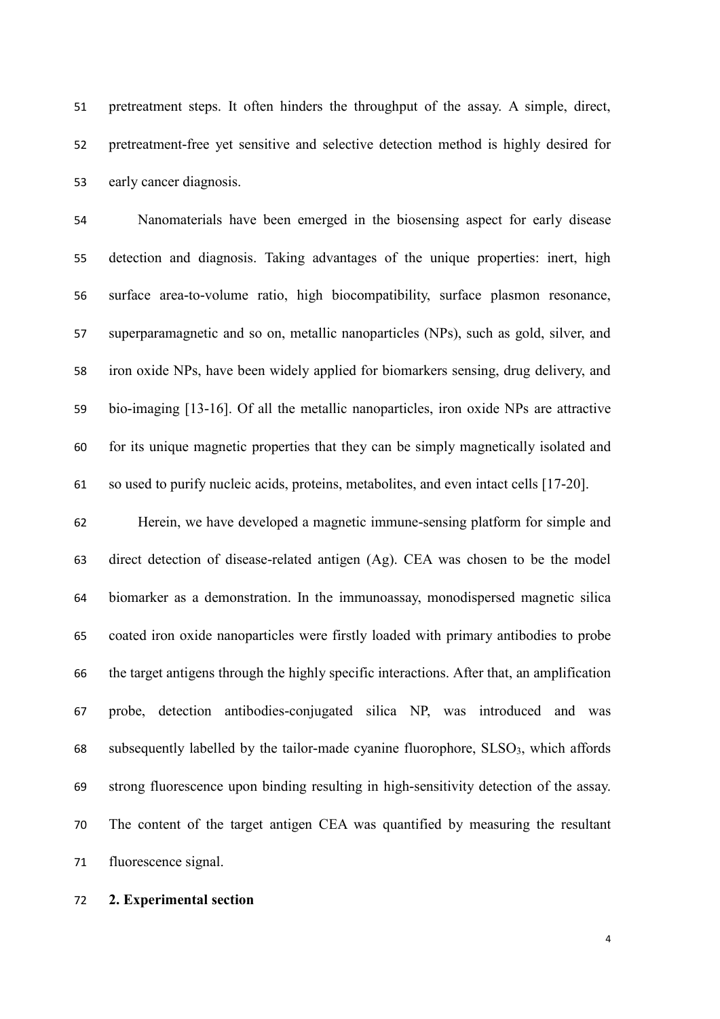pretreatment steps. It often hinders the throughput of the assay. A simple, direct, pretreatment-free yet sensitive and selective detection method is highly desired for early cancer diagnosis.

 Nanomaterials have been emerged in the biosensing aspect for early disease detection and diagnosis. Taking advantages of the unique properties: inert, high surface area-to-volume ratio, high biocompatibility, surface plasmon resonance, superparamagnetic and so on, metallic nanoparticles (NPs), such as gold, silver, and iron oxide NPs, have been widely applied for biomarkers sensing, drug delivery, and bio-imaging [13-16]. Of all the metallic nanoparticles, iron oxide NPs are attractive for its unique magnetic properties that they can be simply magnetically isolated and so used to purify nucleic acids, proteins, metabolites, and even intact cells [17-20].

 Herein, we have developed a magnetic immune-sensing platform for simple and direct detection of disease-related antigen (Ag). CEA was chosen to be the model biomarker as a demonstration. In the immunoassay, monodispersed magnetic silica coated iron oxide nanoparticles were firstly loaded with primary antibodies to probe the target antigens through the highly specific interactions. After that, an amplification probe, detection antibodies-conjugated silica NP, was introduced and was 68 subsequently labelled by the tailor-made cyanine fluorophore,  $SLSO_3$ , which affords strong fluorescence upon binding resulting in high-sensitivity detection of the assay. The content of the target antigen CEA was quantified by measuring the resultant fluorescence signal.

## **2. Experimental section**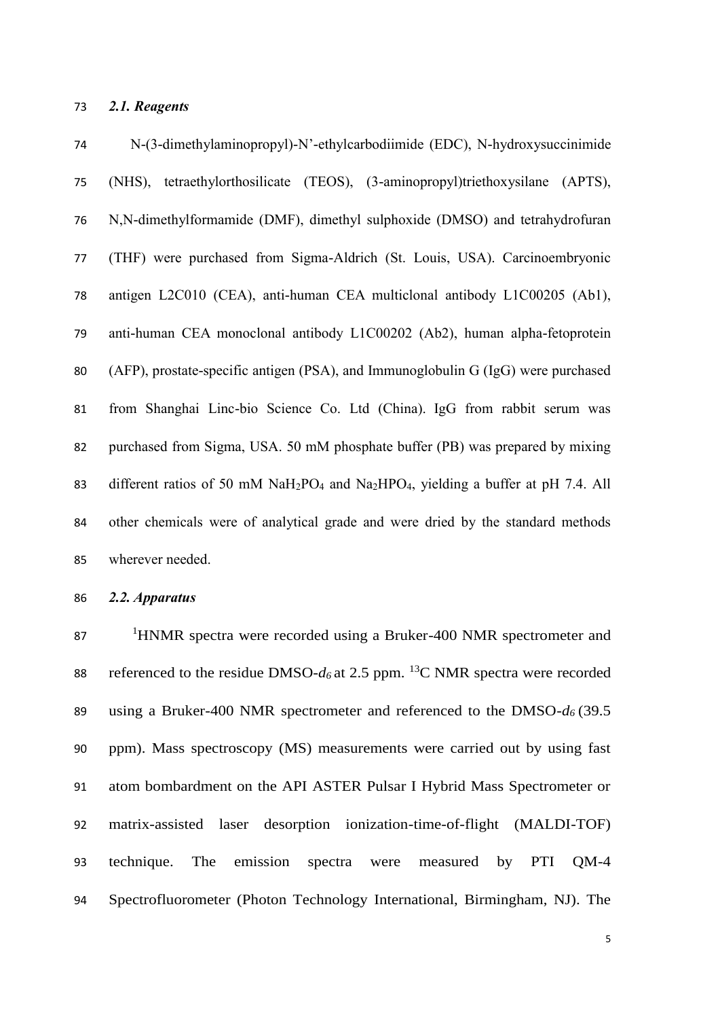## *2.1. Reagents*

 N-(3-dimethylaminopropyl)-N'-ethylcarbodiimide (EDC), N-hydroxysuccinimide (NHS), tetraethylorthosilicate (TEOS), (3-aminopropyl)triethoxysilane (APTS), N,N-dimethylformamide (DMF), dimethyl sulphoxide (DMSO) and tetrahydrofuran (THF) were purchased from Sigma-Aldrich (St. Louis, USA). Carcinoembryonic antigen L2C010 (CEA), anti-human CEA multiclonal antibody L1C00205 (Ab1), anti-human CEA monoclonal antibody L1C00202 (Ab2), human alpha-fetoprotein (AFP), prostate-specific antigen (PSA), and Immunoglobulin G (IgG) were purchased from Shanghai Linc-bio Science Co. Ltd (China). IgG from rabbit serum was purchased from Sigma, USA. 50 mM phosphate buffer (PB) was prepared by mixing different ratios of 50 mM NaH2PO<sup>4</sup> and Na2HPO4, yielding a buffer at pH 7.4. All other chemicals were of analytical grade and were dried by the standard methods wherever needed.

*2.2. Apparatus*

87 <sup>1</sup>HNMR spectra were recorded using a Bruker-400 NMR spectrometer and 88 referenced to the residue DMSO- $d_6$  at 2.5 ppm. <sup>13</sup>C NMR spectra were recorded using a Bruker-400 NMR spectrometer and referenced to the DMSO-*d<sup>6</sup>* (39.5 ppm). Mass spectroscopy (MS) measurements were carried out by using fast atom bombardment on the API ASTER Pulsar I Hybrid Mass Spectrometer or matrix-assisted laser desorption ionization-time-of-flight (MALDI-TOF) technique. The emission spectra were measured by PTI QM-4 Spectrofluorometer (Photon Technology International, Birmingham, NJ). The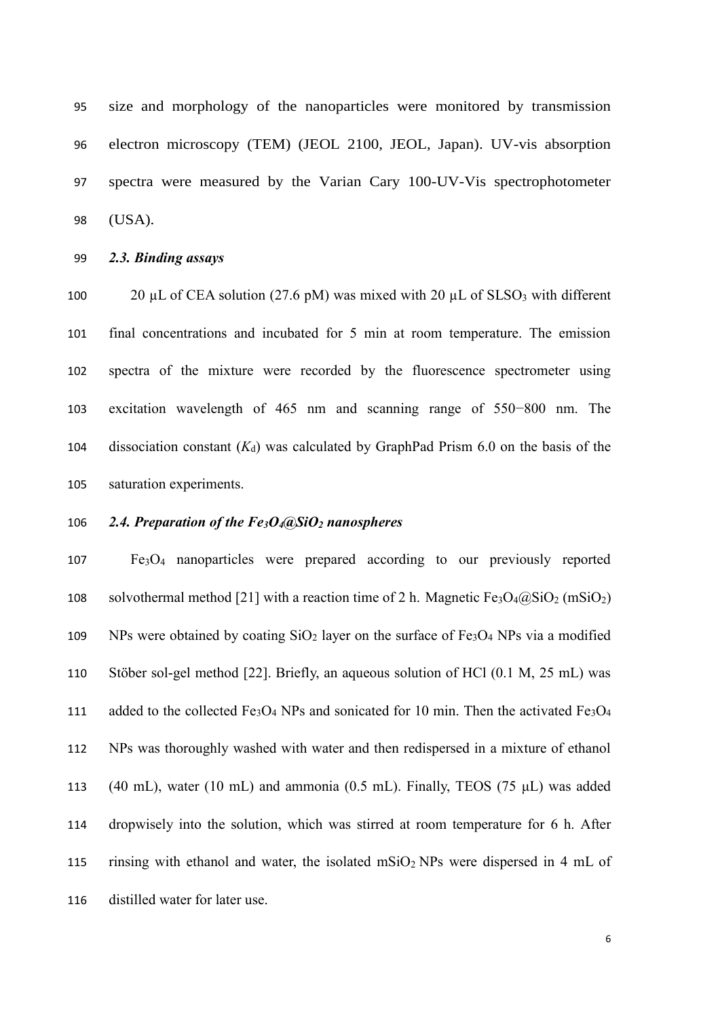size and morphology of the nanoparticles were monitored by transmission electron microscopy (TEM) (JEOL 2100, JEOL, Japan). UV-vis absorption spectra were measured by the Varian Cary 100-UV-Vis spectrophotometer (USA).

*2.3. Binding assays*

100 20 µL of CEA solution (27.6 pM) was mixed with 20 µL of  $SLSO<sub>3</sub>$  with different final concentrations and incubated for 5 min at room temperature. The emission spectra of the mixture were recorded by the fluorescence spectrometer using excitation wavelength of 465 nm and scanning range of 550−800 nm. The 104 dissociation constant  $(K_d)$  was calculated by GraphPad Prism 6.0 on the basis of the saturation experiments.

## *2.4. Preparation of the Fe3O4@SiO<sup>2</sup> nanospheres*

 Fe3O<sup>4</sup> nanoparticles were prepared according to our previously reported 108 solvothermal method [21] with a reaction time of 2 h. Magnetic  $Fe<sub>3</sub>O<sub>4</sub>(a)SiO<sub>2</sub>$  (mSiO<sub>2</sub>) 109 NPs were obtained by coating  $SiO<sub>2</sub>$  layer on the surface of Fe<sub>3</sub>O<sub>4</sub> NPs via a modified Stöber sol-gel method [22]. Briefly, an aqueous solution of HCl (0.1 M, 25 mL) was 111 added to the collected  $Fe<sub>3</sub>O<sub>4</sub>$  NPs and sonicated for 10 min. Then the activated  $Fe<sub>3</sub>O<sub>4</sub>$  NPs was thoroughly washed with water and then redispersed in a mixture of ethanol 113 (40 mL), water (10 mL) and ammonia (0.5 mL). Finally, TEOS (75  $\mu$ L) was added dropwisely into the solution, which was stirred at room temperature for 6 h. After 115 rinsing with ethanol and water, the isolated  $mSiO<sub>2</sub> NPs$  were dispersed in 4 mL of distilled water for later use.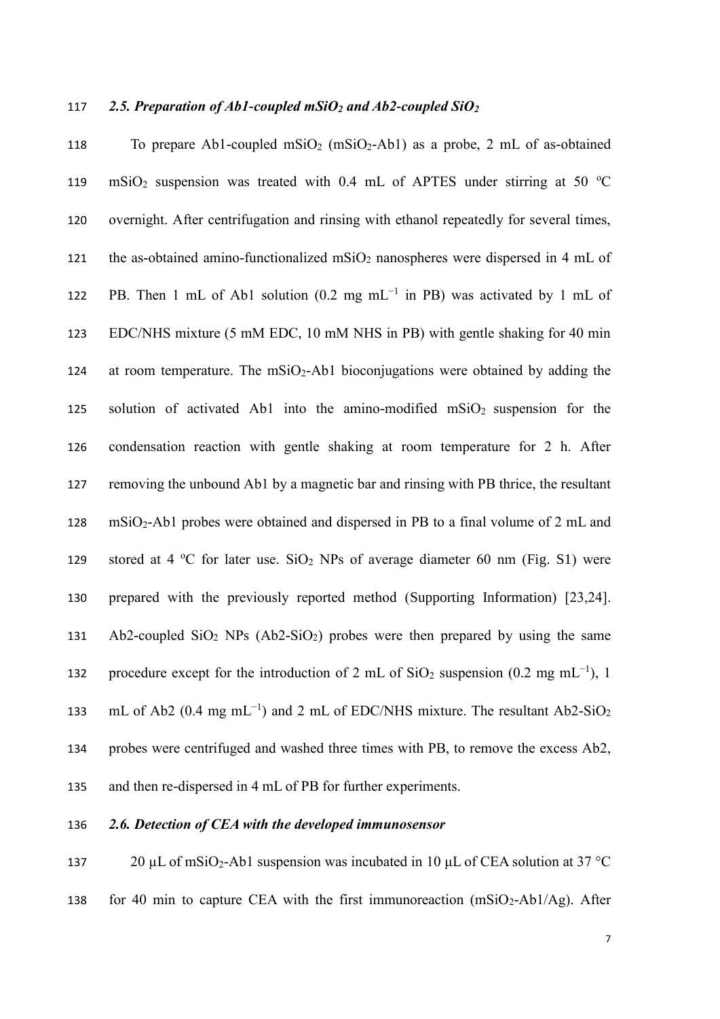#### 117 *2.5. Preparation of Ab1-coupled mSiO<sup>2</sup> and Ab2-coupled SiO<sup>2</sup>*

118 To prepare Ab1-coupled  $\text{mSiO}_2$  ( $\text{mSiO}_2$ -Ab1) as a probe, 2 mL of as-obtained 119 mSiO<sub>2</sub> suspension was treated with 0.4 mL of APTES under stirring at 50 °C 120 overnight. After centrifugation and rinsing with ethanol repeatedly for several times, 121 the as-obtained amino-functionalized mSiO<sub>2</sub> nanospheres were dispersed in 4 mL of 122 PB. Then 1 mL of Ab1 solution (0.2 mg mL<sup>-1</sup> in PB) was activated by 1 mL of 123 EDC/NHS mixture (5 mM EDC, 10 mM NHS in PB) with gentle shaking for 40 min 124 at room temperature. The mSiO<sub>2</sub>-Ab1 bioconjugations were obtained by adding the 125 solution of activated Ab1 into the amino-modified  $mSiO<sub>2</sub>$  suspension for the 126 condensation reaction with gentle shaking at room temperature for 2 h. After 127 removing the unbound Ab1 by a magnetic bar and rinsing with PB thrice, the resultant 128 mSiO2-Ab1 probes were obtained and dispersed in PB to a final volume of 2 mL and 129 stored at 4 °C for later use.  $SiO<sub>2</sub>$  NPs of average diameter 60 nm (Fig. S1) were 130 prepared with the previously reported method (Supporting Information) [23,24]. 131 Ab2-coupled  $SiO<sub>2</sub>$  NPs (Ab2-SiO<sub>2</sub>) probes were then prepared by using the same 132 procedure except for the introduction of 2 mL of SiO<sub>2</sub> suspension (0.2 mg mL<sup>-1</sup>), 1 133 mL of Ab2 (0.4 mg mL<sup>-1</sup>) and 2 mL of EDC/NHS mixture. The resultant Ab2-SiO<sub>2</sub> 134 probes were centrifuged and washed three times with PB, to remove the excess Ab2, 135 and then re-dispersed in 4 mL of PB for further experiments.

#### 136 *2.6. Detection of CEA with the developed immunosensor*

137 20 µL of mSiO<sub>2</sub>-Ab1 suspension was incubated in 10 µL of CEA solution at 37 °C 138 for 40 min to capture CEA with the first immunoreaction  $(mSiO<sub>2</sub>-Ab1/Ag)$ . After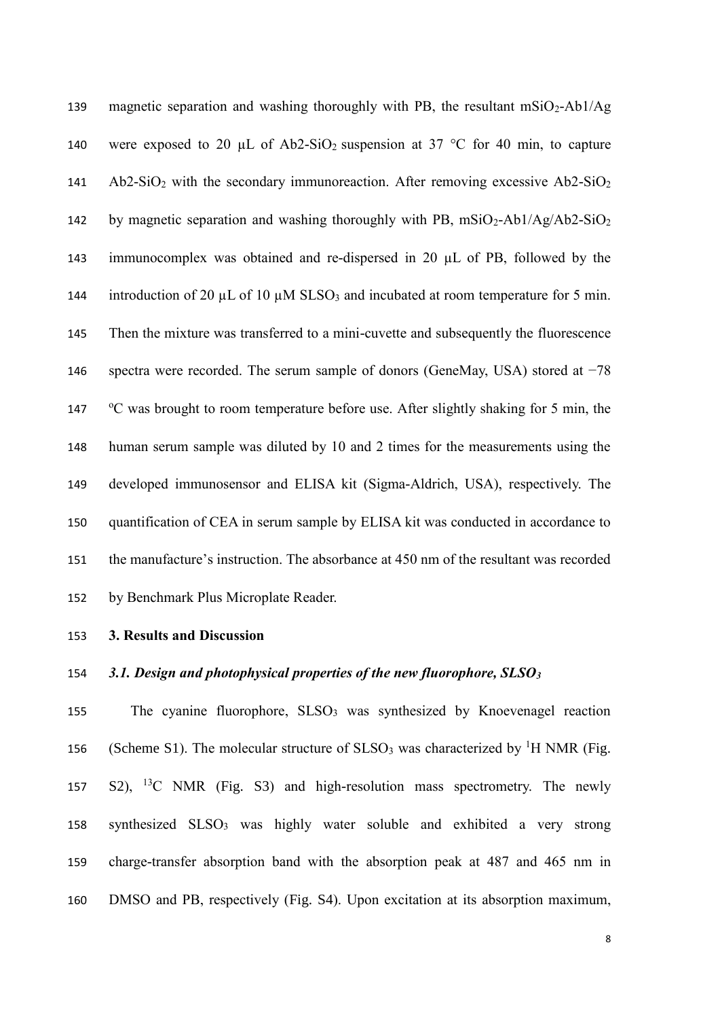139 magnetic separation and washing thoroughly with PB, the resultant  $mSiO<sub>2</sub> - Ab1/Ag$ 140 were exposed to 20  $\mu$ L of Ab2-SiO<sub>2</sub> suspension at 37 °C for 40 min, to capture 141 Ab2-SiO<sub>2</sub> with the secondary immunoreaction. After removing excessive Ab2-SiO<sub>2</sub> 142 by magnetic separation and washing thoroughly with PB,  $mSiO<sub>2</sub>-Ab1/Ag/Ab2-SiO<sub>2</sub>$ 143 immunocomplex was obtained and re-dispersed in 20 µL of PB, followed by the 144 introduction of 20  $\mu$ L of 10  $\mu$ M SLSO<sub>3</sub> and incubated at room temperature for 5 min. 145 Then the mixture was transferred to a mini-cuvette and subsequently the fluorescence 146 spectra were recorded. The serum sample of donors (GeneMay, USA) stored at −78 147 °C was brought to room temperature before use. After slightly shaking for 5 min, the 148 human serum sample was diluted by 10 and 2 times for the measurements using the 149 developed immunosensor and ELISA kit (Sigma-Aldrich, USA), respectively. The 150 quantification of CEA in serum sample by ELISA kit was conducted in accordance to 151 the manufacture's instruction. The absorbance at 450 nm of the resultant was recorded 152 by Benchmark Plus Microplate Reader.

#### 153 **3. Results and Discussion**

## 154 *3.1. Design and photophysical properties of the new fluorophore, SLSO<sup>3</sup>*

155 The cyanine fluorophore, SLSO<sub>3</sub> was synthesized by Knoevenagel reaction 156 (Scheme S1). The molecular structure of  $SLSO_3$  was characterized by <sup>1</sup>H NMR (Fig. 157 S2), <sup>13</sup>C NMR (Fig. S3) and high-resolution mass spectrometry. The newly 158 synthesized SLSO<sub>3</sub> was highly water soluble and exhibited a very strong 159 charge-transfer absorption band with the absorption peak at 487 and 465 nm in 160 DMSO and PB, respectively (Fig. S4). Upon excitation at its absorption maximum,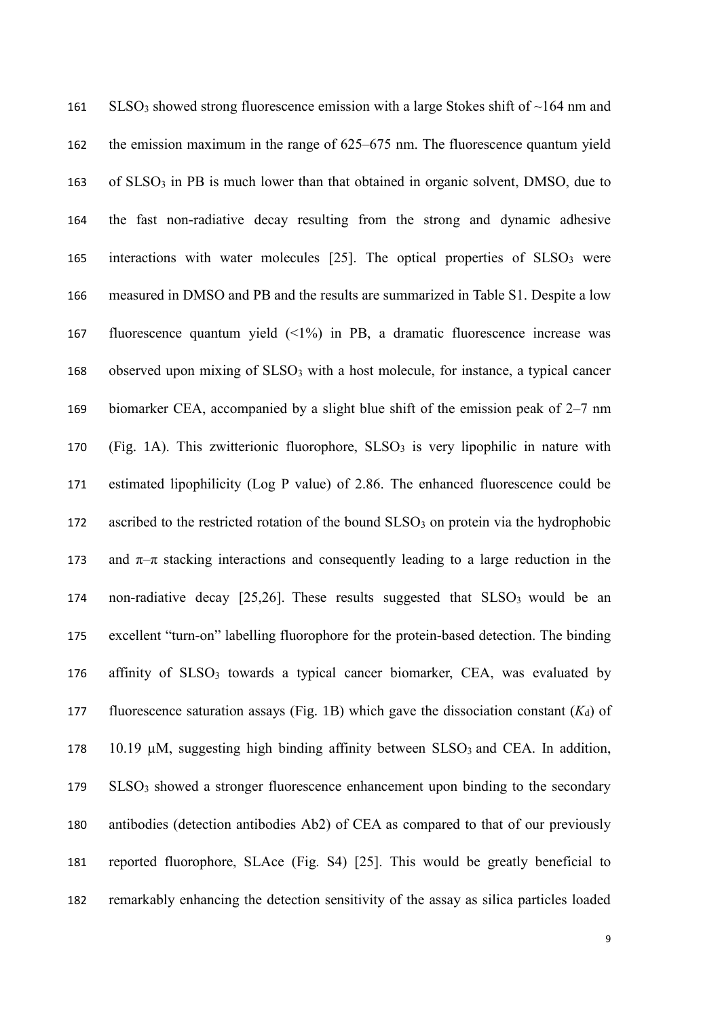| 161 | $SLSO3$ showed strong fluorescence emission with a large Stokes shift of ~164 nm and              |
|-----|---------------------------------------------------------------------------------------------------|
| 162 | the emission maximum in the range of $625-675$ nm. The fluorescence quantum yield                 |
| 163 | of SLSO <sub>3</sub> in PB is much lower than that obtained in organic solvent, DMSO, due to      |
| 164 | the fast non-radiative decay resulting from the strong and dynamic adhesive                       |
| 165 | interactions with water molecules [25]. The optical properties of SLSO <sub>3</sub> were          |
| 166 | measured in DMSO and PB and the results are summarized in Table S1. Despite a low                 |
| 167 | fluorescence quantum yield $(\leq 1\%)$ in PB, a dramatic fluorescence increase was               |
| 168 | observed upon mixing of SLSO <sub>3</sub> with a host molecule, for instance, a typical cancer    |
| 169 | biomarker CEA, accompanied by a slight blue shift of the emission peak of $2-7$ nm                |
| 170 | (Fig. 1A). This zwitterionic fluorophore, $SLSO3$ is very lipophilic in nature with               |
| 171 | estimated lipophilicity (Log P value) of 2.86. The enhanced fluorescence could be                 |
| 172 | ascribed to the restricted rotation of the bound SLSO <sub>3</sub> on protein via the hydrophobic |
| 173 | and $\pi-\pi$ stacking interactions and consequently leading to a large reduction in the          |
| 174 | non-radiative decay [25,26]. These results suggested that SLSO <sub>3</sub> would be an           |
| 175 | excellent "turn-on" labelling fluorophore for the protein-based detection. The binding            |
| 176 | affinity of SLSO <sub>3</sub> towards a typical cancer biomarker, CEA, was evaluated by           |
| 177 | fluorescence saturation assays (Fig. 1B) which gave the dissociation constant $(K_d)$ of          |
| 178 | 10.19 $\mu$ M, suggesting high binding affinity between SLSO <sub>3</sub> and CEA. In addition,   |
| 179 | SLSO <sub>3</sub> showed a stronger fluorescence enhancement upon binding to the secondary        |
| 180 | antibodies (detection antibodies Ab2) of CEA as compared to that of our previously                |
| 181 | reported fluorophore, SLAce (Fig. S4) [25]. This would be greatly beneficial to                   |
| 182 | remarkably enhancing the detection sensitivity of the assay as silica particles loaded            |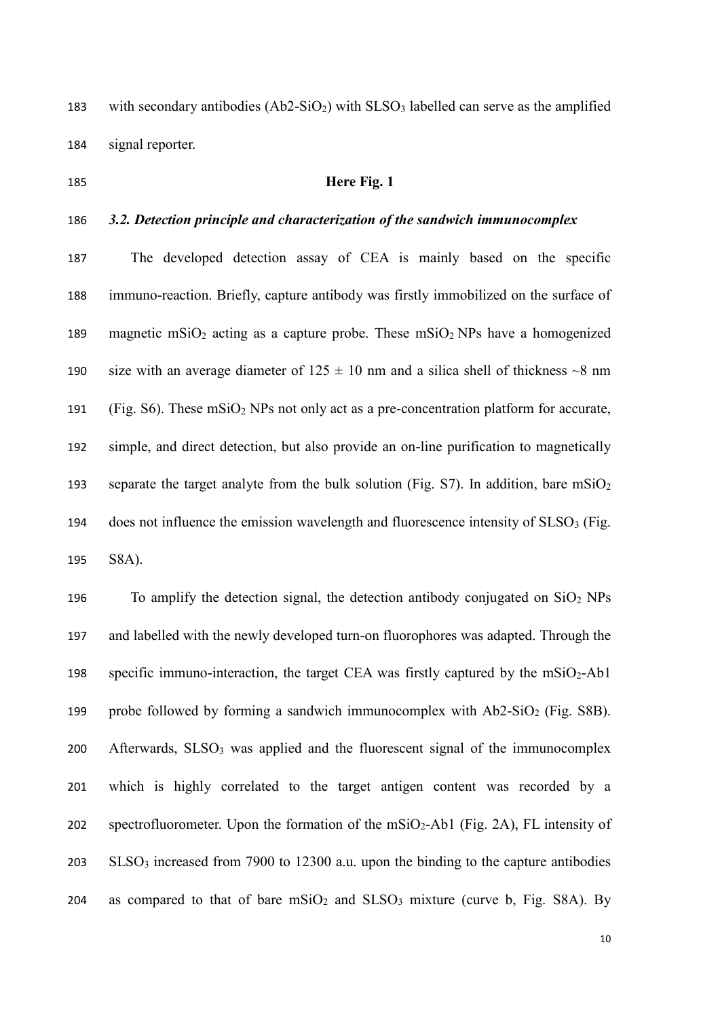183 with secondary antibodies  $(Ab2-SiO<sub>2</sub>)$  with  $SLSO<sub>3</sub>$  labelled can serve as the amplified 184 signal reporter.

## 185 **Here Fig. 1**

#### 186 *3.2. Detection principle and characterization of the sandwich immunocomplex*

187 The developed detection assay of CEA is mainly based on the specific 188 immuno-reaction. Briefly, capture antibody was firstly immobilized on the surface of 189 magnetic mSiO<sub>2</sub> acting as a capture probe. These mSiO<sub>2</sub> NPs have a homogenized 190 size with an average diameter of  $125 \pm 10$  nm and a silica shell of thickness  $\sim 8$  nm 191 (Fig. S6). These  $\text{mSiO}_2$  NPs not only act as a pre-concentration platform for accurate, 192 simple, and direct detection, but also provide an on-line purification to magnetically 193 separate the target analyte from the bulk solution (Fig. S7). In addition, bare  $mSiO<sub>2</sub>$ 194 does not influence the emission wavelength and fluorescence intensity of  $SLSO<sub>3</sub>$  (Fig. 195 S8A).

196 To amplify the detection signal, the detection antibody conjugated on  $SiO<sub>2</sub> NPs$ 197 and labelled with the newly developed turn-on fluorophores was adapted. Through the 198 specific immuno-interaction, the target CEA was firstly captured by the  $mSiO<sub>2</sub>$ -Ab1 199 probe followed by forming a sandwich immunocomplex with  $Ab2-SiO<sub>2</sub>$  (Fig. S8B). 200 Afterwards,  $SLSO<sub>3</sub>$  was applied and the fluorescent signal of the immunocomplex 201 which is highly correlated to the target antigen content was recorded by a 202 spectrofluorometer. Upon the formation of the  $mSiO_2$ -Ab1 (Fig. 2A), FL intensity of 203 SLSO<sup>3</sup> increased from 7900 to 12300 a.u. upon the binding to the capture antibodies 204 as compared to that of bare  $\text{mSiO}_2$  and  $\text{SLSO}_3$  mixture (curve b, Fig. S8A). By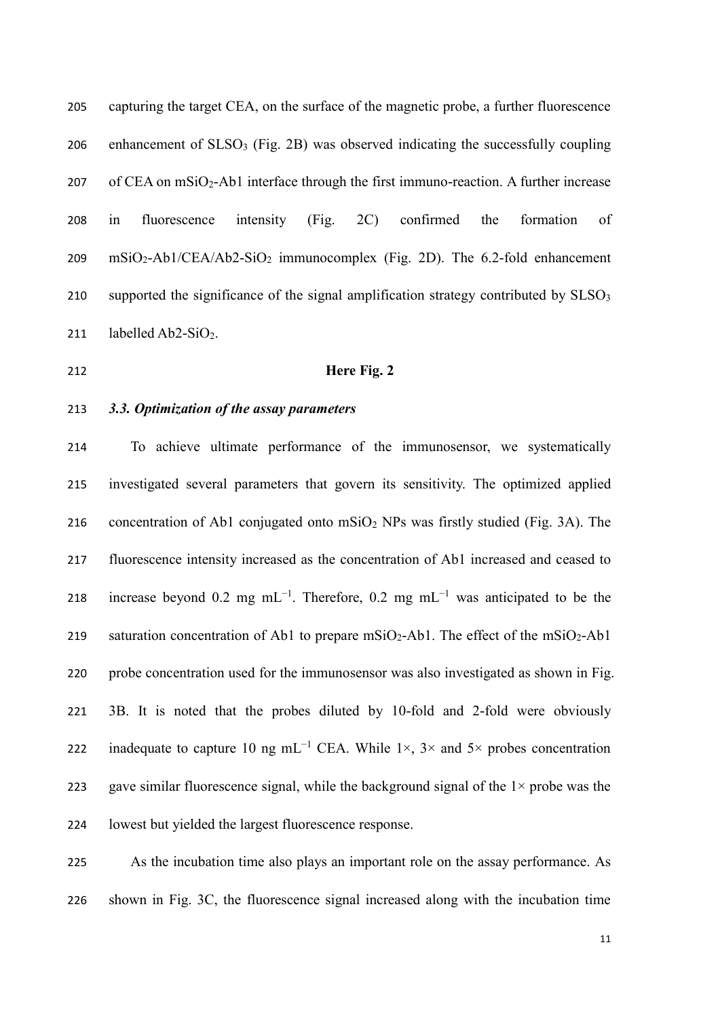| 205 | capturing the target CEA, on the surface of the magnetic probe, a further fluorescence           |
|-----|--------------------------------------------------------------------------------------------------|
| 206 | enhancement of SLSO <sub>3</sub> (Fig. 2B) was observed indicating the successfully coupling     |
| 207 | of CEA on mSiO <sub>2</sub> -Ab1 interface through the first immuno-reaction. A further increase |
| 208 | (Fig.<br>of<br>in<br>intensity<br>2C) confirmed<br>the<br>fluorescence<br>formation              |
| 209 | $mSiO2 - Ab1/CEA/Ab2-SiO2$ immunocomplex (Fig. 2D). The 6.2-fold enhancement                     |
| 210 | supported the significance of the signal amplification strategy contributed by SLSO <sub>3</sub> |
| 211 | labelled $Ab2-SiO_2$ .                                                                           |

## **Here Fig. 2**

#### *3.3. Optimization of the assay parameters*

 To achieve ultimate performance of the immunosensor, we systematically investigated several parameters that govern its sensitivity. The optimized applied concentration of Ab1 conjugated onto mSiO<sup>2</sup> NPs was firstly studied (Fig. 3A). The fluorescence intensity increased as the concentration of Ab1 increased and ceased to 218 increase beyond 0.2 mg mL<sup>-1</sup>. Therefore, 0.2 mg mL<sup>-1</sup> was anticipated to be the 219 saturation concentration of Ab1 to prepare mSiO<sub>2</sub>-Ab1. The effect of the mSiO<sub>2</sub>-Ab1 probe concentration used for the immunosensor was also investigated as shown in Fig. 3B. It is noted that the probes diluted by 10-fold and 2-fold were obviously 222 inadequate to capture 10 ng mL<sup>-1</sup> CEA. While 1×, 3× and 5× probes concentration 223 gave similar fluorescence signal, while the background signal of the  $1\times$  probe was the lowest but yielded the largest fluorescence response.

 As the incubation time also plays an important role on the assay performance. As shown in Fig. 3C, the fluorescence signal increased along with the incubation time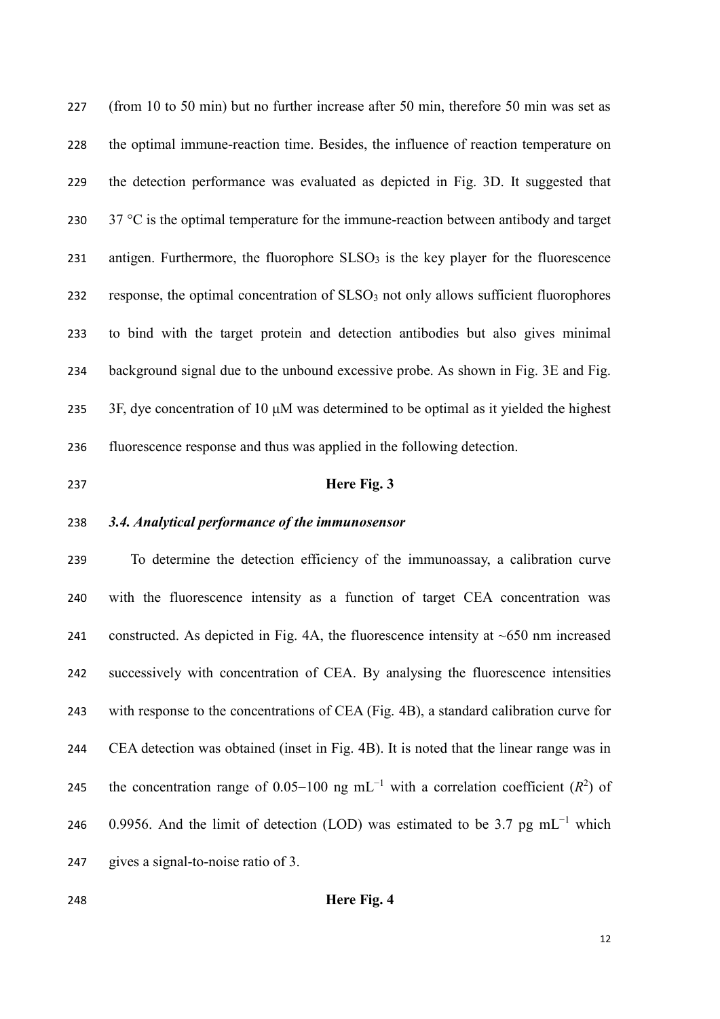(from 10 to 50 min) but no further increase after 50 min, therefore 50 min was set as the optimal immune-reaction time. Besides, the influence of reaction temperature on the detection performance was evaluated as depicted in Fig. 3D. It suggested that  $37 \text{ °C}$  is the optimal temperature for the immune-reaction between antibody and target 231 antigen. Furthermore, the fluorophore  $SLSO<sub>3</sub>$  is the key player for the fluorescence 232 response, the optimal concentration of  $SLSO<sub>3</sub>$  not only allows sufficient fluorophores to bind with the target protein and detection antibodies but also gives minimal background signal due to the unbound excessive probe. As shown in Fig. 3E and Fig. 3F, dye concentration of 10 μM was determined to be optimal as it yielded the highest fluorescence response and thus was applied in the following detection.

#### **Here Fig. 3**

#### *3.4. Analytical performance of the immunosensor*

 To determine the detection efficiency of the immunoassay, a calibration curve with the fluorescence intensity as a function of target CEA concentration was 241 constructed. As depicted in Fig. 4A, the fluorescence intensity at  $~650$  nm increased successively with concentration of CEA. By analysing the fluorescence intensities with response to the concentrations of CEA (Fig. 4B), a standard calibration curve for CEA detection was obtained (inset in Fig. 4B). It is noted that the linear range was in 245 the concentration range of 0.05–100 ng mL<sup>-1</sup> with a correlation coefficient  $(R^2)$  of 246 0.9956. And the limit of detection (LOD) was estimated to be 3.7 pg mL<sup>-1</sup> which gives a signal-to-noise ratio of 3.

## **Here Fig. 4**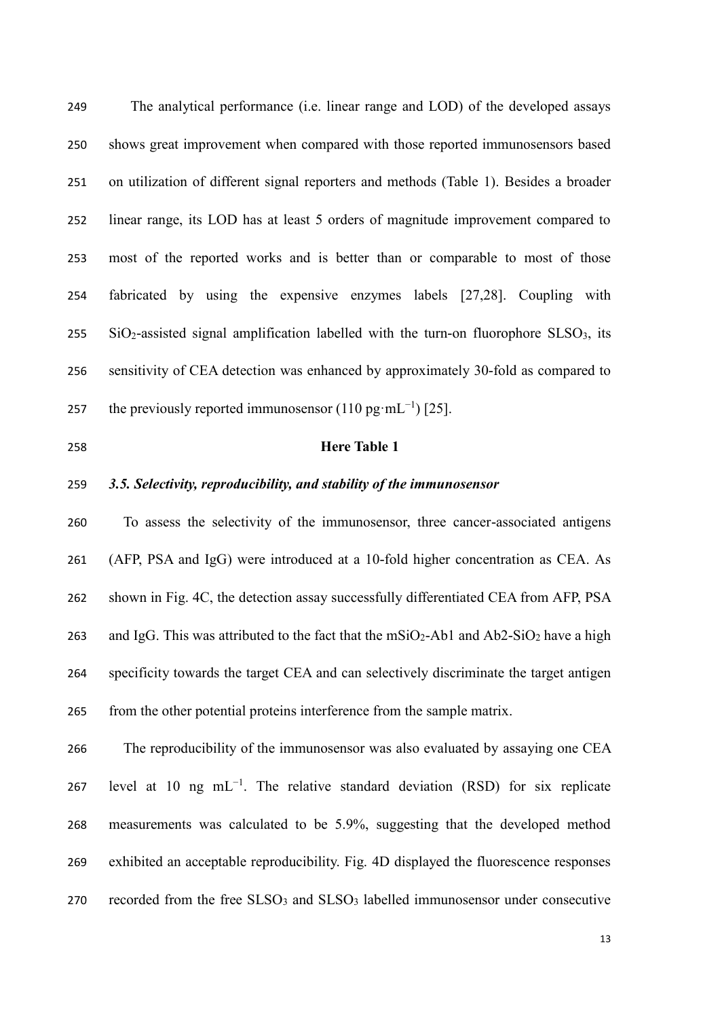The analytical performance (i.e. linear range and LOD) of the developed assays shows great improvement when compared with those reported immunosensors based on utilization of different signal reporters and methods (Table 1). Besides a broader linear range, its LOD has at least 5 orders of magnitude improvement compared to most of the reported works and is better than or comparable to most of those fabricated by using the expensive enzymes labels [27,28]. Coupling with SiO<sub>2</sub>-assisted signal amplification labelled with the turn-on fluorophore SLSO<sub>3</sub>, its sensitivity of CEA detection was enhanced by approximately 30-fold as compared to 257 the previously reported immunosensor  $(110 \text{ pg} \cdot \text{mL}^{-1})$  [25].

#### **Here Table 1**

## *3.5. Selectivity, reproducibility, and stability of the immunosensor*

 To assess the selectivity of the immunosensor, three cancer-associated antigens (AFP, PSA and IgG) were introduced at a 10-fold higher concentration as CEA. As shown in Fig. 4C, the detection assay successfully differentiated CEA from AFP, PSA 263 and IgG. This was attributed to the fact that the  $mSiO_2$ -Ab1 and Ab2-SiO<sub>2</sub> have a high specificity towards the target CEA and can selectively discriminate the target antigen from the other potential proteins interference from the sample matrix.

 The reproducibility of the immunosensor was also evaluated by assaying one CEA 267 level at 10 ng mL<sup>-1</sup>. The relative standard deviation (RSD) for six replicate measurements was calculated to be 5.9%, suggesting that the developed method exhibited an acceptable reproducibility. Fig. 4D displayed the fluorescence responses 270 recorded from the free  $SLSO<sub>3</sub>$  and  $SLSO<sub>3</sub>$  labelled immunosensor under consecutive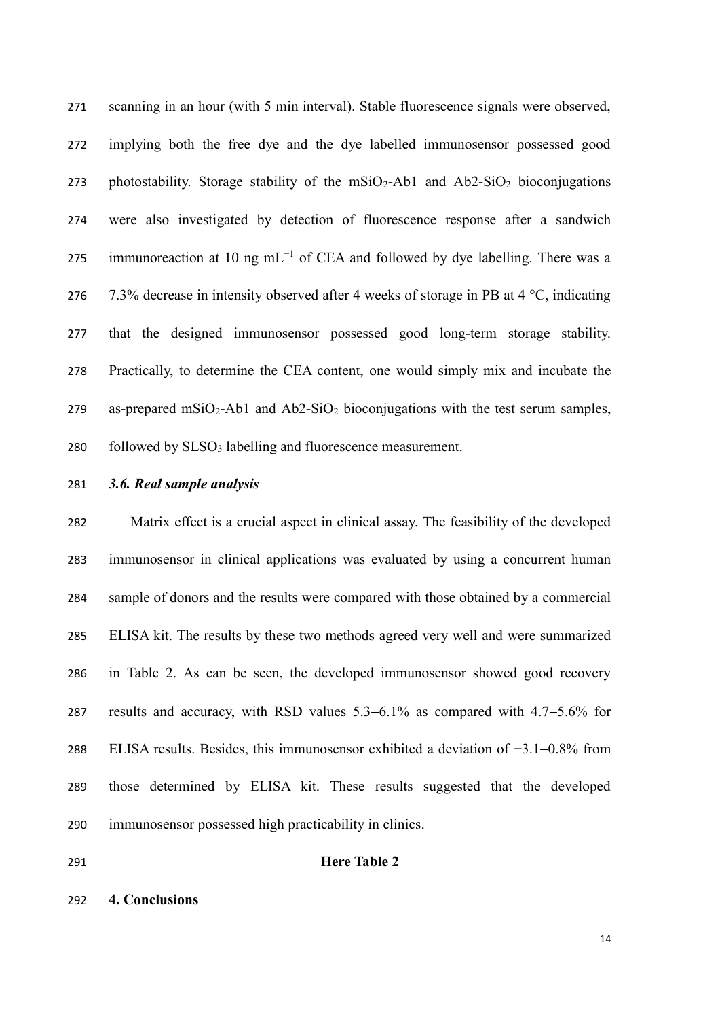scanning in an hour (with 5 min interval). Stable fluorescence signals were observed, implying both the free dye and the dye labelled immunosensor possessed good 273 photostability. Storage stability of the  $mSiO_2$ -Ab1 and Ab2-SiO<sub>2</sub> bioconjugations were also investigated by detection of fluorescence response after a sandwich 275 immunore action at 10 ng mL<sup>-1</sup> of CEA and followed by dye labelling. There was a 276 7.3% decrease in intensity observed after 4 weeks of storage in PB at  $4 \degree C$ , indicating that the designed immunosensor possessed good long-term storage stability. Practically, to determine the CEA content, one would simply mix and incubate the 279 as-prepared mSiO<sub>2</sub>-Ab1 and Ab2-SiO<sub>2</sub> bioconjugations with the test serum samples, 280 followed by  $SLSO_3$  labelling and fluorescence measurement.

#### *3.6. Real sample analysis*

 Matrix effect is a crucial aspect in clinical assay. The feasibility of the developed immunosensor in clinical applications was evaluated by using a concurrent human sample of donors and the results were compared with those obtained by a commercial ELISA kit. The results by these two methods agreed very well and were summarized in Table 2. As can be seen, the developed immunosensor showed good recovery 287 results and accuracy, with RSD values  $5.3-6.1\%$  as compared with  $4.7-5.6\%$  for ELISA results. Besides, this immunosensor exhibited a deviation of −3.10.8% from those determined by ELISA kit. These results suggested that the developed immunosensor possessed high practicability in clinics.

#### **Here Table 2**

#### **4. Conclusions**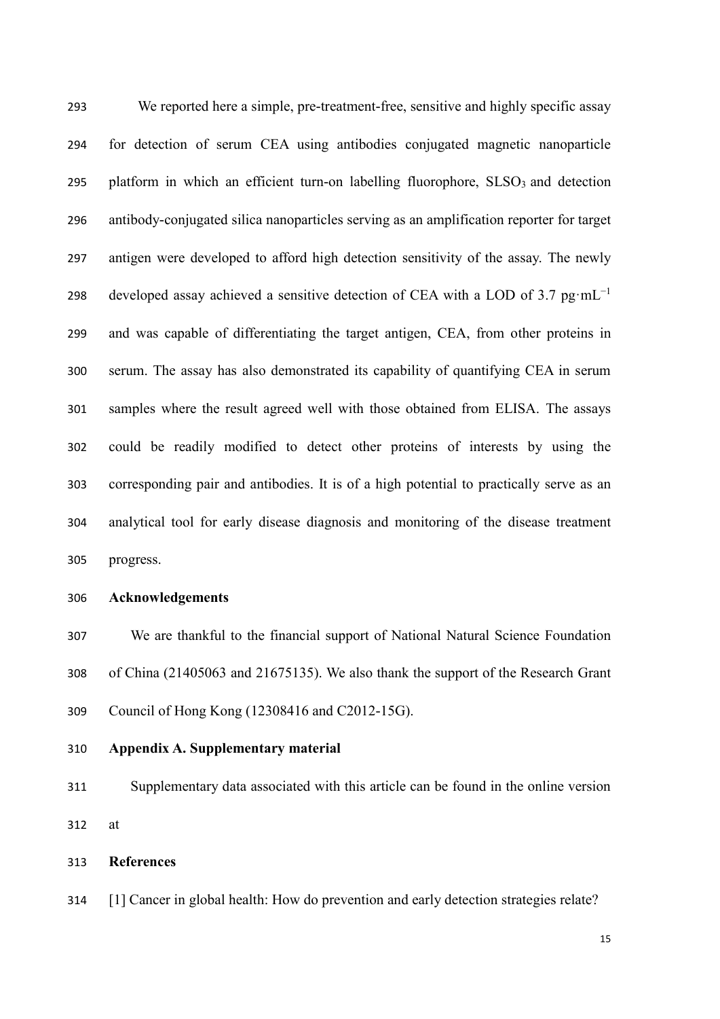We reported here a simple, pre-treatment-free, sensitive and highly specific assay for detection of serum CEA using antibodies conjugated magnetic nanoparticle 295 platform in which an efficient turn-on labelling fluorophore,  $SLSO<sub>3</sub>$  and detection antibody-conjugated silica nanoparticles serving as an amplification reporter for target antigen were developed to afford high detection sensitivity of the assay. The newly developed assay achieved a sensitive detection of CEA with a LOD of 3.7  $pg·mL^{-1}$  and was capable of differentiating the target antigen, CEA, from other proteins in serum. The assay has also demonstrated its capability of quantifying CEA in serum samples where the result agreed well with those obtained from ELISA. The assays could be readily modified to detect other proteins of interests by using the corresponding pair and antibodies. It is of a high potential to practically serve as an analytical tool for early disease diagnosis and monitoring of the disease treatment progress.

#### **Acknowledgements**

 We are thankful to the financial support of National Natural Science Foundation of China (21405063 and 21675135). We also thank the support of the Research Grant Council of Hong Kong (12308416 and C2012-15G).

**Appendix A. Supplementary material** 

 Supplementary data associated with this article can be found in the online version at

**References**

[1] Cancer in global health: How do prevention and early detection strategies relate?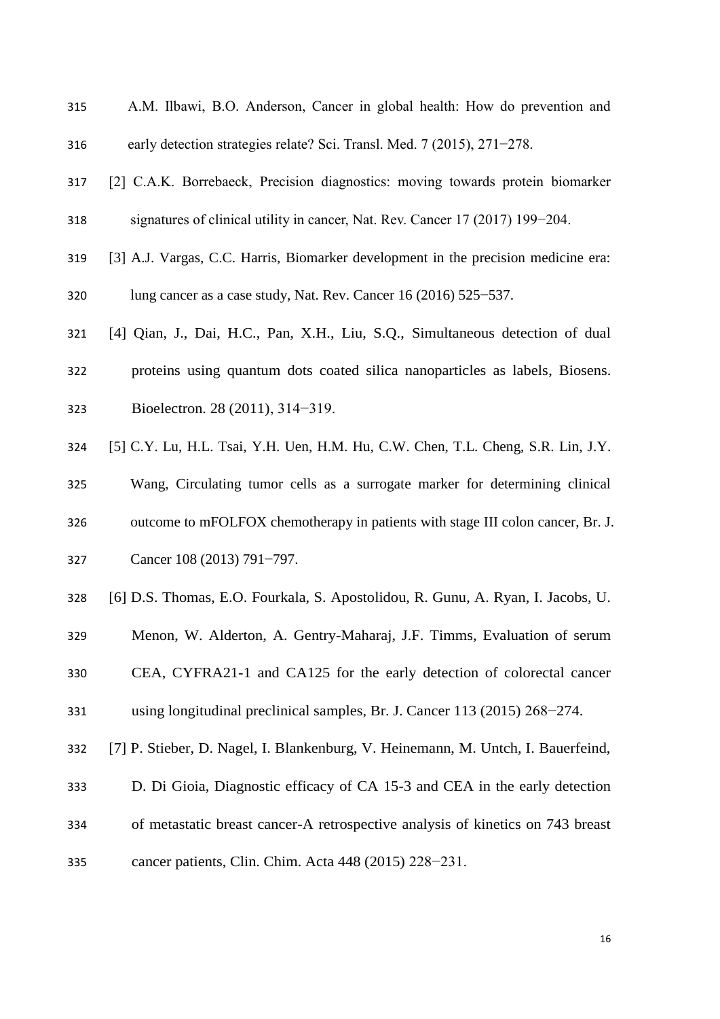- A.M. Ilbawi, B.O. Anderson, Cancer in global health: How do prevention and early detection strategies relate? Sci. Transl. Med. 7 (2015), 271−278.
- [2] C.A.K. Borrebaeck, Precision diagnostics: moving towards protein biomarker signatures of clinical utility in cancer, Nat. Rev. Cancer 17 (2017) 199−204.
- [3] A.J. Vargas, C.C. Harris, Biomarker development in the precision medicine era:
- lung cancer as a case study, Nat. Rev. Cancer 16 (2016) 525−537.
- [4] Qian, J., Dai, H.C., Pan, X.H., Liu, S.Q., Simultaneous detection of dual
- proteins using quantum dots coated silica nanoparticles as labels, Biosens.
- Bioelectron. 28 (2011), 314−319.
- [5] C.Y. Lu, H.L. Tsai, Y.H. Uen, H.M. Hu, C.W. Chen, T.L. Cheng, S.R. Lin, J.Y.
- Wang, Circulating tumor cells as a surrogate marker for determining clinical outcome to mFOLFOX chemotherapy in patients with stage III colon cancer, Br. J.
- Cancer 108 (2013) 791−797.
- [6] D.S. Thomas, E.O. Fourkala, S. Apostolidou, R. Gunu, A. Ryan, I. Jacobs, U.
- Menon, W. Alderton, A. Gentry-Maharaj, J.F. Timms, Evaluation of serum
- CEA, CYFRA21-1 and CA125 for the early detection of colorectal cancer using longitudinal preclinical samples, Br. J. Cancer 113 (2015) 268−274.
- [7] P. Stieber, D. Nagel, I. Blankenburg, V. Heinemann, M. Untch, I. Bauerfeind,
- D. Di Gioia, Diagnostic efficacy of CA 15-3 and CEA in the early detection of metastatic breast cancer-A retrospective analysis of kinetics on 743 breast
- cancer patients, Clin. Chim. Acta 448 (2015) 228−231.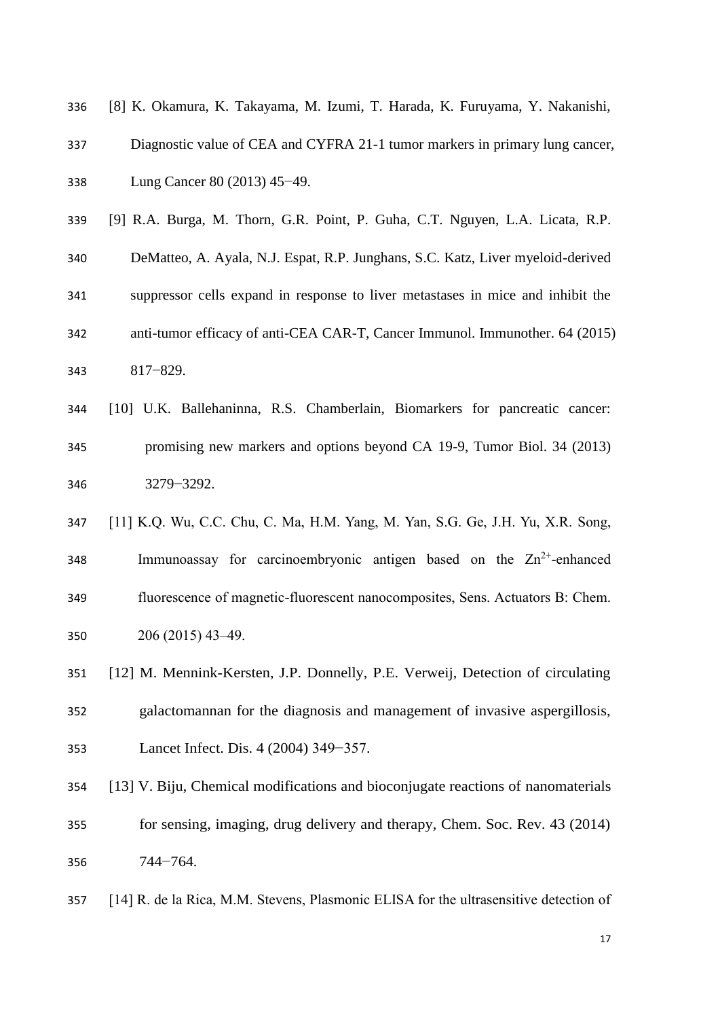| 336 | [8] K. Okamura, K. Takayama, M. Izumi, T. Harada, K. Furuyama, Y. Nakanishi,    |
|-----|---------------------------------------------------------------------------------|
| 337 | Diagnostic value of CEA and CYFRA 21-1 tumor markers in primary lung cancer,    |
| 338 | Lung Cancer 80 (2013) 45–49.                                                    |
| 339 | [9] R.A. Burga, M. Thorn, G.R. Point, P. Guha, C.T. Nguyen, L.A. Licata, R.P.   |
| 340 | DeMatteo, A. Ayala, N.J. Espat, R.P. Junghans, S.C. Katz, Liver myeloid-derived |
| 341 | suppressor cells expand in response to liver metastases in mice and inhibit the |
| 342 | anti-tumor efficacy of anti-CEA CAR-T, Cancer Immunol. Immunother. 64 (2015)    |
| 343 | $817 - 829.$                                                                    |

- [10] U.K. Ballehaninna, R.S. Chamberlain, Biomarkers for pancreatic cancer: promising new markers and options beyond CA 19-9, Tumor Biol. 34 (2013) 3279−3292.
- [11] K.Q. Wu, C.C. Chu, C. Ma, H.M. Yang, M. Yan, S.G. Ge, J.H. Yu, X.R. Song, 348 Immunoassay for carcinoembryonic antigen based on the  $Zn^{2+}$ -enhanced fluorescence of magnetic-fluorescent nanocomposites, Sens. Actuators B: Chem. 206 (2015) 43–49.
- [12] M. Mennink-Kersten, J.P. Donnelly, P.E. Verweij, Detection of circulating galactomannan for the diagnosis and management of invasive aspergillosis, Lancet Infect. Dis. 4 (2004) 349−357.
- [13] V. Biju, Chemical modifications and bioconjugate reactions of nanomaterials for sensing, imaging, drug delivery and therapy, Chem. Soc. Rev. 43 (2014) 744−764.
- [14] R. de la Rica, M.M. Stevens, Plasmonic ELISA for the ultrasensitive detection of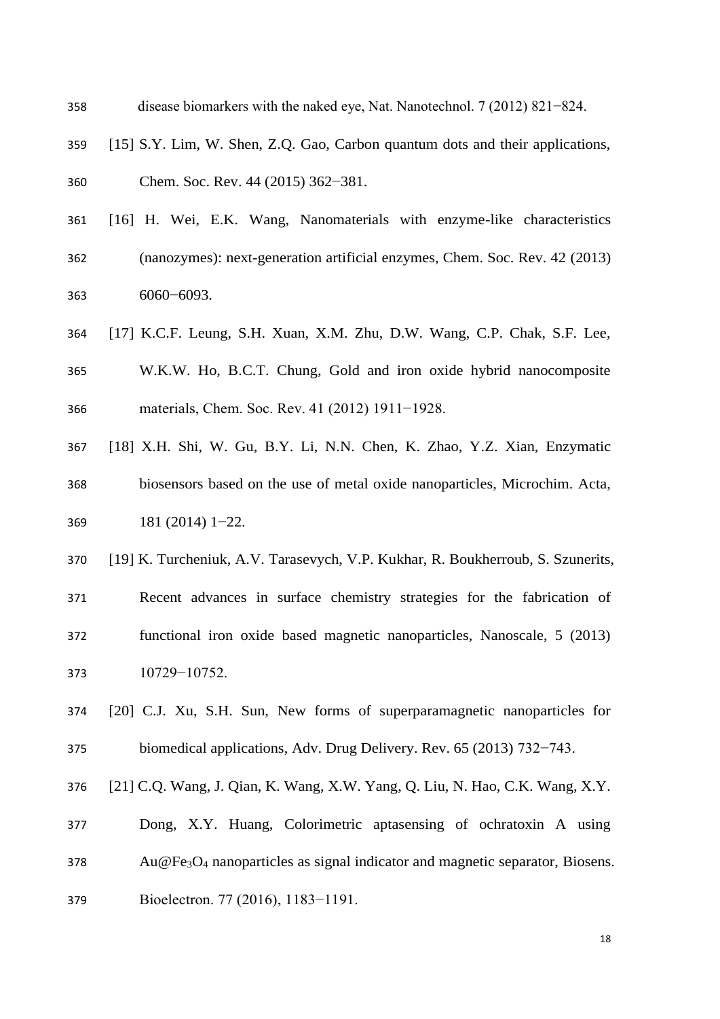disease biomarkers with the naked eye, Nat. Nanotechnol. 7 (2012) 821−824. [15] S.Y. Lim, W. Shen, Z.Q. Gao, Carbon quantum dots and their applications, Chem. Soc. Rev. 44 (2015) 362−381. [16] H. Wei, E.K. Wang, Nanomaterials with enzyme-like characteristics (nanozymes): next-generation artificial enzymes, Chem. Soc. Rev. 42 (2013)

6060−6093.

- [17] K.C.F. Leung, S.H. Xuan, X.M. Zhu, D.W. Wang, C.P. Chak, S.F. Lee, W.K.W. Ho, B.C.T. Chung, Gold and iron oxide hybrid nanocomposite materials, Chem. Soc. Rev. 41 (2012) 1911−1928.
- [18] X.H. Shi, W. Gu, B.Y. Li, N.N. Chen, K. Zhao, Y.Z. Xian, Enzymatic biosensors based on the use of metal oxide nanoparticles, Microchim. Acta, 181 (2014) 1−22.
- [19] K. Turcheniuk, A.V. Tarasevych, V.P. Kukhar, R. Boukherroub, S. Szunerits, Recent advances in surface chemistry strategies for the fabrication of functional iron oxide based magnetic nanoparticles, Nanoscale, 5 (2013) 10729−10752.
- [20] C.J. Xu, S.H. Sun, New forms of superparamagnetic nanoparticles for biomedical applications, Adv. Drug Delivery. Rev. 65 (2013) 732−743.
- [21] C.Q. Wang, J. Qian, K. Wang, X.W. Yang, Q. Liu, N. Hao, C.K. Wang, X.Y.
- Dong, X.Y. Huang, Colorimetric aptasensing of ochratoxin A using
- Au@Fe<sub>3</sub>O<sub>4</sub> nanoparticles as signal indicator and magnetic separator, Biosens.
- Bioelectron. 77 (2016), 1183−1191.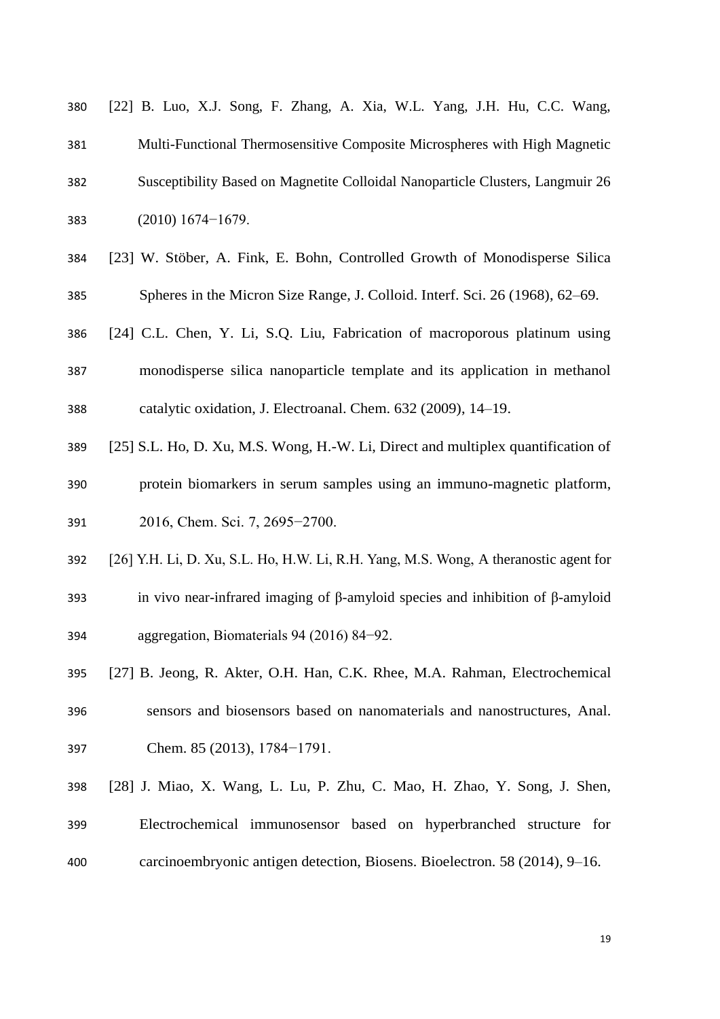| 380 | [22] B. Luo, X.J. Song, F. Zhang, A. Xia, W.L. Yang, J.H. Hu, C.C. Wang,       |
|-----|--------------------------------------------------------------------------------|
| 381 | Multi-Functional Thermosensitive Composite Microspheres with High Magnetic     |
| 382 | Susceptibility Based on Magnetite Colloidal Nanoparticle Clusters, Langmuir 26 |
| 383 | $(2010) 1674 - 1679.$                                                          |
| 384 | [23] W. Stöber, A. Fink, E. Bohn, Controlled Growth of Monodisperse Silica     |
| 385 | Spheres in the Micron Size Range, J. Colloid. Interf. Sci. 26 (1968), 62–69.   |

- [24] C.L. Chen, Y. Li, S.Q. Liu, Fabrication of macroporous platinum using monodisperse silica nanoparticle template and its application in methanol catalytic oxidation, J. Electroanal. Chem. 632 (2009), 14–19.
- [25] S.L. Ho, D. Xu, M.S. Wong, H.-W. Li, Direct and multiplex quantification of
- protein biomarkers in serum samples using an immuno-magnetic platform, 2016, Chem. Sci. 7, 2695−2700.
- [26] Y.H. Li, D. Xu, S.L. Ho, H.W. Li, R.H. Yang, M.S. Wong, A theranostic agent for
- in vivo near-infrared imaging of β-amyloid species and inhibition of β-amyloid aggregation, Biomaterials 94 (2016) 84−92.
- [27] B. Jeong, R. Akter, O.H. Han, C.K. Rhee, M.A. Rahman, Electrochemical sensors and biosensors based on nanomaterials and nanostructures, Anal. Chem. 85 (2013), 1784−1791.
- [28] J. Miao, X. Wang, L. Lu, P. Zhu, C. Mao, H. Zhao, Y. Song, J. Shen, Electrochemical immunosensor based on hyperbranched structure for carcinoembryonic antigen detection, Biosens. Bioelectron. 58 (2014), 9–16.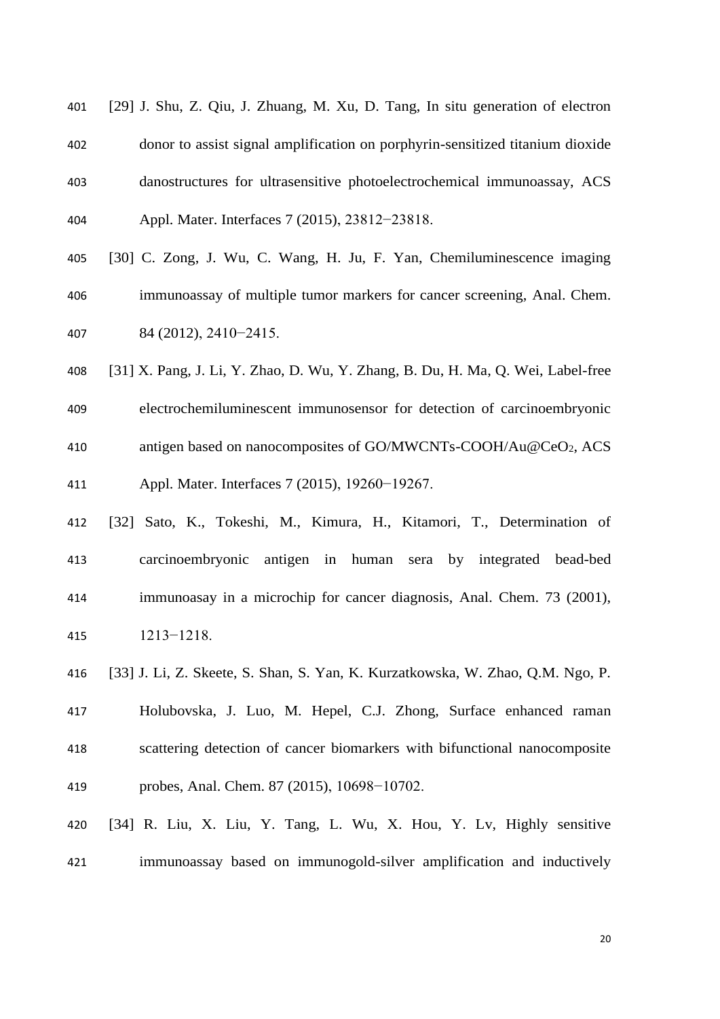- [29] J. Shu, Z. Qiu, J. Zhuang, M. Xu, D. Tang, In situ generation of electron donor to assist signal amplification on porphyrin-sensitized titanium dioxide danostructures for ultrasensitive photoelectrochemical immunoassay, ACS Appl. Mater. Interfaces 7 (2015), 23812−23818.
- [30] C. Zong, J. Wu, C. Wang, H. Ju, F. Yan, Chemiluminescence imaging immunoassay of multiple tumor markers for cancer screening, Anal. Chem. 84 (2012), 2410−2415.
- [31] X. Pang, J. Li, Y. Zhao, D. Wu, Y. Zhang, B. Du, H. Ma, Q. Wei, Label-free
- electrochemiluminescent immunosensor for detection of carcinoembryonic 410 antigen based on nanocomposites of GO/MWCNTs-COOH/Au@CeO<sub>2</sub>, ACS Appl. Mater. Interfaces 7 (2015), 19260−19267.
- [32] Sato, K., Tokeshi, M., Kimura, H., Kitamori, T., Determination of carcinoembryonic antigen in human sera by integrated bead-bed immunoasay in a microchip for cancer diagnosis, Anal. Chem. 73 (2001), 1213−1218.
- [33] J. Li, Z. Skeete, S. Shan, S. Yan, K. Kurzatkowska, W. Zhao, Q.M. Ngo, P. Holubovska, J. Luo, M. Hepel, C.J. Zhong, Surface enhanced raman scattering detection of cancer biomarkers with bifunctional nanocomposite probes, Anal. Chem. 87 (2015), 10698−10702.
- [34] R. Liu, X. Liu, Y. Tang, L. Wu, X. Hou, Y. Lv, Highly sensitive immunoassay based on immunogold-silver amplification and inductively